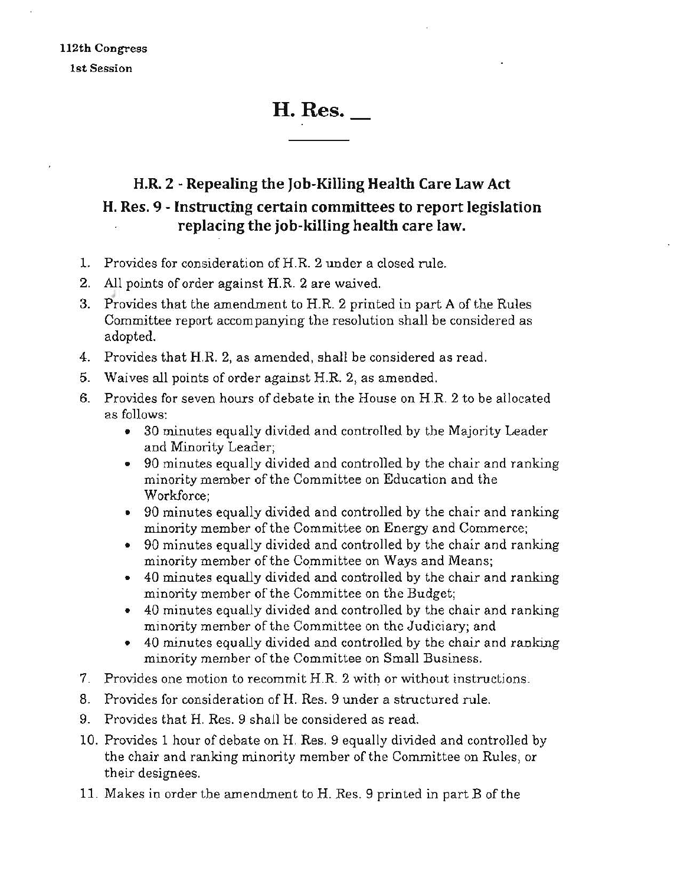# H. Res.

## H.R. 2 - Repealing the Job-Killing Health Care Law Act H. Res. 9 - Instructing certain committees to report legislation replacing the job-killing health care law.

- 1. Provides for consideration of H.R. 2 under a closed rule.
- 2. All points of order against H.R. 2 are waived.
- 3. Provides that the amendment to H.R. 2 printed in part A of the Rules Committee report accompanying the resolution shall be considered as adopted.
- 4. Provides that H.R. 2, as amended, shall be considered as read.
- 5. Waives all points of order against H.R. 2, as amended.
- 6. Provides for seven hours of debate in the House on H.R 2 to be allocated as follows:
	- 30 minutes equally divided and controlled by the Majority Leader and Minority Leader;
	- 90 minutes equally divided and controlled by the chair and ranking minority member of the Committee on Education and the Workforce;
	- 90 minutes equally divided and controlled by the chair and ranking minority member of the Committee on Energy and Commerce;
	- 90 minutes equally divided and controlled by the chair and ranking minority member of the Committee on Ways and Means;
	- 40 minutes equally divided and controlled by the chair and ranking minority member of the Committee on the Budget;
	- 40 minutes equally divided and controlled by the chair and ranking minority member of the Committee on the Judiciary; and
	- 40 minutes equally divided and controlled by the chair and ranking minority member of the Committee on Small Business.
- 7. Provides one motion to recommit H.R. 2 with or without instructions.
- 8. Provides for consideration ofH. Res. 9 under a structured rule.
- 9. Provides that H. Res. 9 shall be considered as read.
- 10. Provides 1 hour of debate on H. Res. 9 equally divided and controlled by the chair and ranking minority member of the Committee on Rules, or their designees.
- 11. Makes in order the amendment to H. Res. 9 printed in part B of the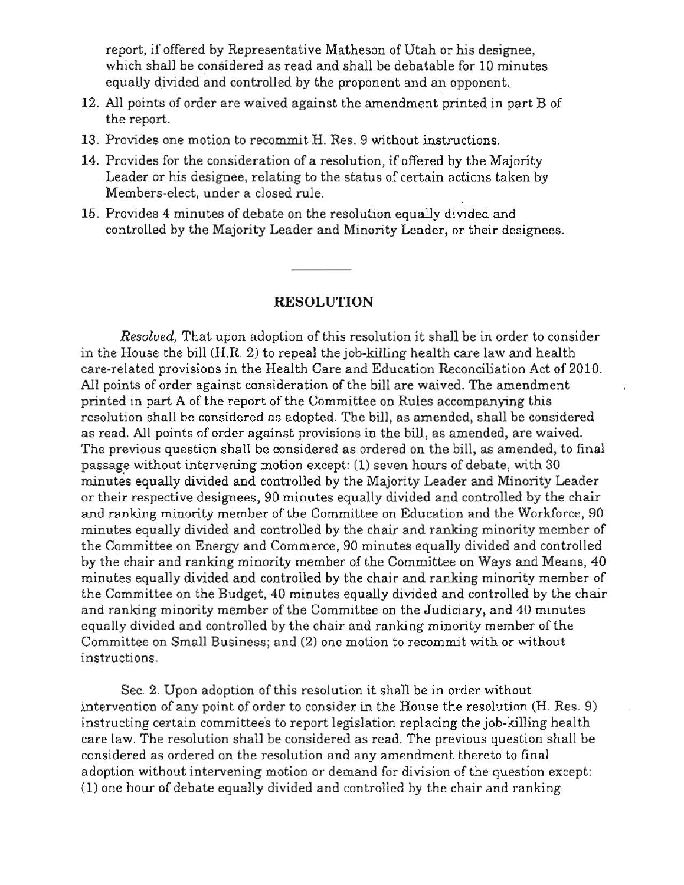report, if offered by Representative Matheson of Utah or his designee, which shall be considered as read and shall be debatable for 10 minutes equally divided and controlled by the proponent and an opponent.

- 12. All points of order are waived against the amendment printed in part B of the report.
- 13. Provides one motion to recommit H. Res. 9 without instructions.
- 14. Provides for the consideration of a resolution, if offered by the Majority Leader or his designee, relating to the status of certain actions taken by Members·elect, under a closed rule.
- 15. Provides 4 minutes of debate on the resolution equally divided and controlled by the Majority Leader and Minority Leader, or their designees.

#### RESOLUTION

*Resolved.* That upon adoption of this resolution it shall be in order to consider in the House the bill (H.R. 2) to repeal the job-killing health care law and health care·related provisions in the Health Care and Education Reconciliation Act of 2010. All points of order against consideration of the bill are waived. The amendment printed in part A of the report of the Committee on Rules accompanying this resolution shall be considered as adopted. The bill, as amended, shall be considered as read. All points of order against provisions in the bill, as amended, are waived. The previous question shall be considered as ordered on the bill, as amended, to final passage without intervening motion except: (1) seven hours of debate, with 30 minutes equally divided and controlled by the Majority Leader and Minority Leader or their respective designees, 90 minutes equally divided and controlled by the chair and ranking minority member of the Committee on Education and the Workforce, 90 minutes equally divided and controlled by the chair and ranking minority member of the Committee on Energy and Commerce, 90 minutes equally divided and controlled by the chair and ranking minority member of the Committee on Ways and Means, 40 minutes equally divided and controlled by the chair and ranking minority member of the Committee on the Budget, 40 minutes equally divided and controlled by the chair and ranking minority member of the Committee on the Judiciary, and 40 minutes equally divided and contro11ed by the chair and ranking minority member of the Committee on Small Business; and (2) one motion to recommit with or without instructions.

Sec. 2. Upon adoption of this resolution it shall be in order without intervention of any point of order to consider in the House the resolution (H. Res. 9) instructing certain committees to report legislation replacing the job-killing health care law. The resolution shaU be considered as read. The previous question shall be considered as ordered on the resolution and any amendment thereto to final adoption without intervening motion or demand for division of the question except: (1) one hour of debate equally divided and controlled by the chair and ranking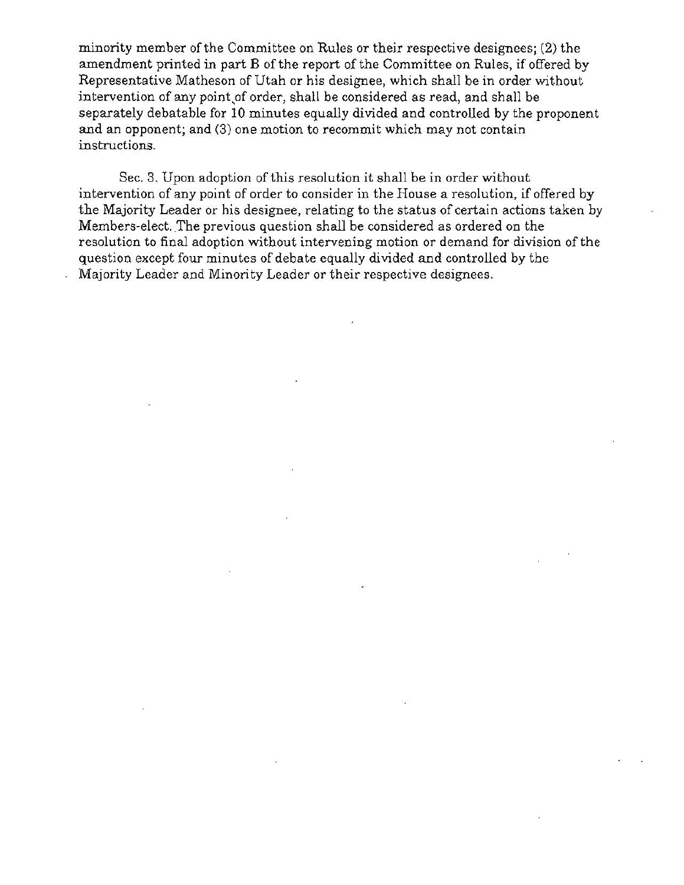minority member of the Committee on Rules or their respective designees; (2) the amendment printed in part B of the report of the Committee on Rules, if offered by Representative Matheson of Utah or his designee, which shall be in order without intervention of any point,of order, shall be considered as read, and shall be separately debatable for 10 minutes equally divided and controlled by the proponent and an opponent; and (3) one motion to recommit which may not contain instructions.

Sec. 3. Upon adoption of this resolution it shall be in order without intervention of any point of order to consider in the House a resolution, if offered by the Majority Leader or his designee, relating to the status of certain actions taken by Members-elect. The previous question shall be considered as ordered on the resolution to final adoption without intervening motion or demand for division of the question except four minutes of debate equally divided and controlled by the Majority Leader and Minority Leader or their respective designees.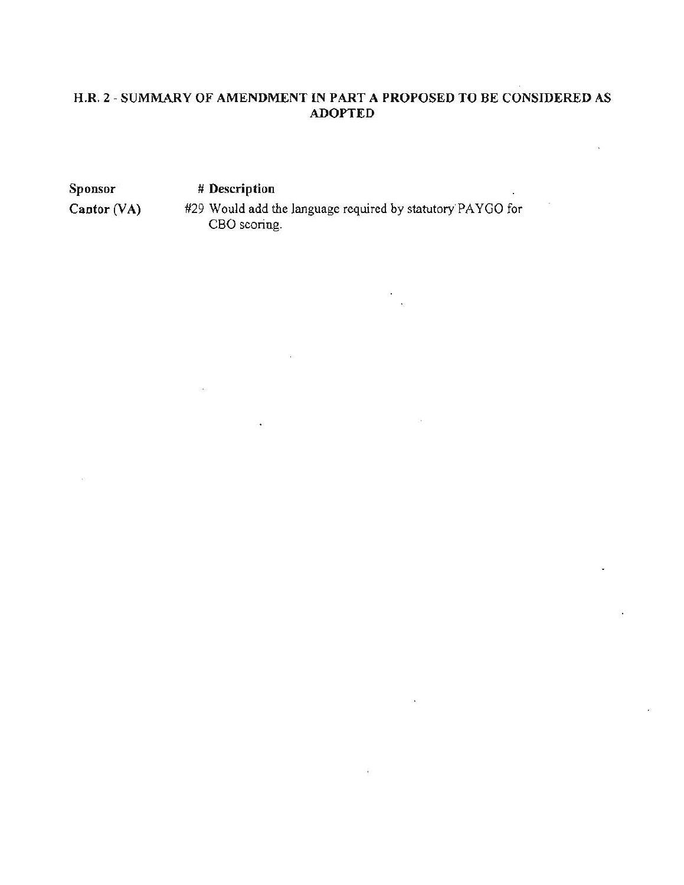#### H.R. 2 - SUMMARY OF AMENDMENT IN PART A PROPOSED TO BE CONSIDERED AS ADOPTED

**Sponsor** 

# **Description** 

 $Cantor (VA)$ 

#29 Would add the language required by statutory PAYGO for CBO scoring.